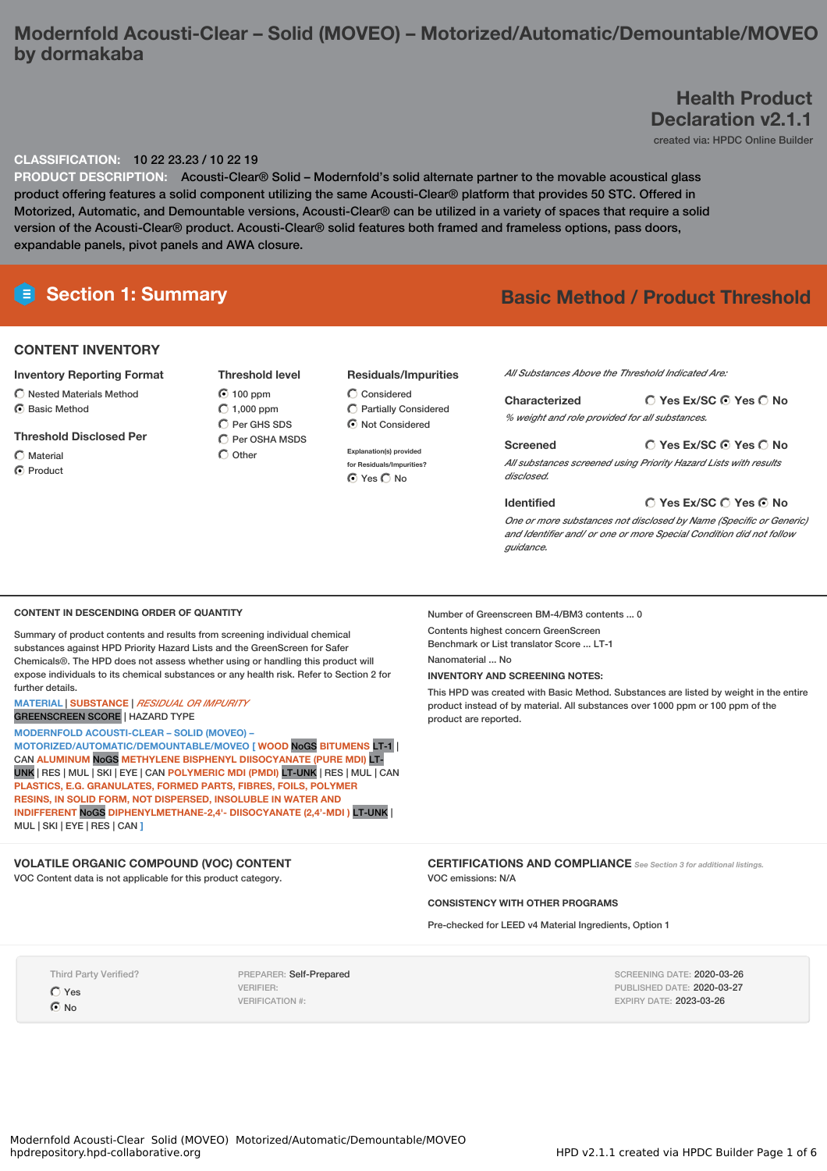# **Modernfold Acousti-Clear – Solid (MOVEO) – Motorized/Automatic/Demountable/MOVEO by dormakaba**

# **Health Product Declaration v2.1.1**

created via: HPDC Online Builder

#### **CLASSIFICATION:** 10 22 23.23 / 10 22 19

**PRODUCT DESCRIPTION:** Acousti-Clear® Solid – Modernfold's solid alternate partner to the movable acoustical glass product offering features a solid component utilizing the same Acousti-Clear® platform that provides 50 STC. Offered in Motorized, Automatic, and Demountable versions, Acousti-Clear® can be utilized in a variety of spaces that require a solid version of the Acousti-Clear® product. Acousti-Clear® solid features both framed and frameless options, pass doors, expandable panels, pivot panels and AWA closure.

# **Section 1: Summary Basic Method / Product Threshold**

#### **CONTENT INVENTORY**

#### **Inventory Reporting Format**

- $\bigcirc$  Nested Materials Method C Basic Method
- **Threshold Disclosed Per**
	-
- $\bigcirc$  Material
- **C** Product

**Threshold level** 100 ppm  $C$  1,000 ppm  $\bigcirc$  Per GHS SDS C Per OSHA MSDS  $\bigcap$  Other

#### **Residuals/Impurities**

 $\bigcirc$  Considered Partially Considered  $\odot$  Not Considered

**Explanation(s) provided for Residuals/Impurities?** Yes No

#### *All Substances Above the Threshold Indicated Are:*

**Yes Ex/SC Yes No Characterized** *% weight and role provided for all substances.*

**Yes Ex/SC Yes No Screened** *All substances screened using Priority Hazard Lists with results disclosed.*

#### **Identified**

**Yes Ex/SC Yes No**

*One or more substances not disclosed by Name (Specific or Generic) and Identifier and/ or one or more Special Condition did not follow guidance.*

#### **CONTENT IN DESCENDING ORDER OF QUANTITY**

Summary of product contents and results from screening individual chemical substances against HPD Priority Hazard Lists and the GreenScreen for Safer Chemicals®. The HPD does not assess whether using or handling this product will expose individuals to its chemical substances or any health risk. Refer to Section 2 for further details.

#### **MATERIAL** | **SUBSTANCE** | *RESIDUAL OR IMPURITY* GREENSCREEN SCORE | HAZARD TYPE

**MODERNFOLD ACOUSTI-CLEAR – SOLID (MOVEO) –**

**MOTORIZED/AUTOMATIC/DEMOUNTABLE/MOVEO [ WOOD** NoGS **BITUMENS** LT-1 | CAN **ALUMINUM** NoGS **METHYLENE BISPHENYL DIISOCYANATE (PURE MDI)** LT-UNK | RES | MUL | SKI | EYE | CAN **POLYMERIC MDI (PMDI)** LT-UNK | RES | MUL | CAN **PLASTICS, E.G. GRANULATES, FORMED PARTS, FIBRES, FOILS, POLYMER RESINS, IN SOLID FORM, NOT DISPERSED, INSOLUBLE IN WATER AND INDIFFERENT** NoGS **DIPHENYLMETHANE-2,4'- DIISOCYANATE (2,4'-MDI )** LT-UNK | MUL | SKI | EYE | RES | CAN **]**

## **VOLATILE ORGANIC COMPOUND (VOC) CONTENT**

VOC Content data is not applicable for this product category.

Number of Greenscreen BM-4/BM3 contents ... 0

Contents highest concern GreenScreen Benchmark or List translator Score ... LT-1

Nanomaterial ... No

## **INVENTORY AND SCREENING NOTES:**

This HPD was created with Basic Method. Substances are listed by weight in the entire product instead of by material. All substances over 1000 ppm or 100 ppm of the product are reported.

**CERTIFICATIONS AND COMPLIANCE** *See Section <sup>3</sup> for additional listings.* VOC emissions: N/A

## **CONSISTENCY WITH OTHER PROGRAMS**

Pre-checked for LEED v4 Material Ingredients, Option 1

Third Party Verified? Yes  $\odot$  No

PREPARER: Self-Prepared VERIFIER: VERIFICATION #:

SCREENING DATE: 2020-03-26 PUBLISHED DATE: 2020-03-27 EXPIRY DATE: 2023-03-26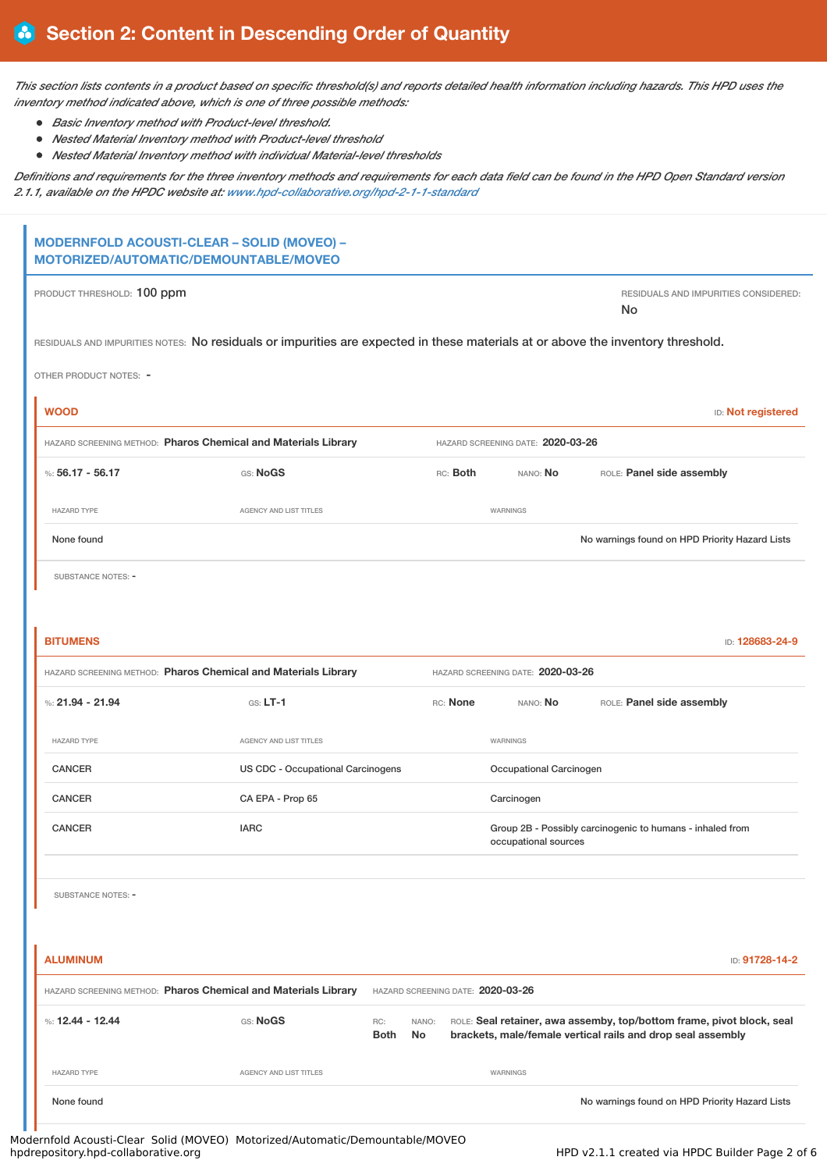This section lists contents in a product based on specific threshold(s) and reports detailed health information including hazards. This HPD uses the *inventory method indicated above, which is one of three possible methods:*

- *Basic Inventory method with Product-level threshold.*
- *Nested Material Inventory method with Product-level threshold*
- *Nested Material Inventory method with individual Material-level thresholds*

Definitions and requirements for the three inventory methods and requirements for each data field can be found in the HPD Open Standard version *2.1.1, available on the HPDC website at: [www.hpd-collaborative.org/hpd-2-1-1-standard](https://www.hpd-collaborative.org/hpd-2-1-1-standard)*

| MODERNFOLD ACOUSTI-CLEAR - SOLID (MOVEO) -<br>MOTORIZED/AUTOMATIC/DEMOUNTABLE/MOVEO                                             |                                   |                    |             |          |                                   |                                                                                                                                      |                                      |
|---------------------------------------------------------------------------------------------------------------------------------|-----------------------------------|--------------------|-------------|----------|-----------------------------------|--------------------------------------------------------------------------------------------------------------------------------------|--------------------------------------|
| PRODUCT THRESHOLD: 100 ppm                                                                                                      |                                   |                    |             |          |                                   | No                                                                                                                                   | RESIDUALS AND IMPURITIES CONSIDERED: |
| RESIDUALS AND IMPURITIES NOTES: No residuals or impurities are expected in these materials at or above the inventory threshold. |                                   |                    |             |          |                                   |                                                                                                                                      |                                      |
| OTHER PRODUCT NOTES: -                                                                                                          |                                   |                    |             |          |                                   |                                                                                                                                      |                                      |
| <b>WOOD</b>                                                                                                                     |                                   |                    |             |          |                                   |                                                                                                                                      | ID: Not registered                   |
| HAZARD SCREENING METHOD: Pharos Chemical and Materials Library                                                                  |                                   |                    |             |          | HAZARD SCREENING DATE: 2020-03-26 |                                                                                                                                      |                                      |
| %: $56.17 - 56.17$                                                                                                              | GS: NoGS                          |                    |             | RC: Both | NANO: No                          | ROLE: Panel side assembly                                                                                                            |                                      |
| <b>HAZARD TYPE</b>                                                                                                              | AGENCY AND LIST TITLES            |                    |             |          | WARNINGS                          |                                                                                                                                      |                                      |
| None found                                                                                                                      |                                   |                    |             |          |                                   | No warnings found on HPD Priority Hazard Lists                                                                                       |                                      |
| SUBSTANCE NOTES: -                                                                                                              |                                   |                    |             |          |                                   |                                                                                                                                      |                                      |
|                                                                                                                                 |                                   |                    |             |          |                                   |                                                                                                                                      |                                      |
| <b>BITUMENS</b>                                                                                                                 |                                   |                    |             |          |                                   |                                                                                                                                      | ID: 128683-24-9                      |
| HAZARD SCREENING METHOD: Pharos Chemical and Materials Library                                                                  |                                   |                    |             |          | HAZARD SCREENING DATE: 2020-03-26 |                                                                                                                                      |                                      |
| %: $21.94 - 21.94$                                                                                                              | $G.S. LT-1$                       |                    |             | RC: None | NANO: No                          | ROLE: Panel side assembly                                                                                                            |                                      |
| <b>HAZARD TYPE</b>                                                                                                              | AGENCY AND LIST TITLES            |                    |             |          | WARNINGS                          |                                                                                                                                      |                                      |
| <b>CANCER</b>                                                                                                                   | US CDC - Occupational Carcinogens |                    |             |          | Occupational Carcinogen           |                                                                                                                                      |                                      |
| CANCER                                                                                                                          | CA EPA - Prop 65                  |                    |             |          | Carcinogen                        |                                                                                                                                      |                                      |
| <b>CANCER</b>                                                                                                                   | <b>IARC</b>                       |                    |             |          | occupational sources              | Group 2B - Possibly carcinogenic to humans - inhaled from                                                                            |                                      |
| <b>SUBSTANCE NOTES: -</b>                                                                                                       |                                   |                    |             |          |                                   |                                                                                                                                      |                                      |
| <b>ALUMINUM</b>                                                                                                                 |                                   |                    |             |          |                                   |                                                                                                                                      | ID: 91728-14-2                       |
| HAZARD SCREENING METHOD: Pharos Chemical and Materials Library                                                                  |                                   |                    |             |          | HAZARD SCREENING DATE: 2020-03-26 |                                                                                                                                      |                                      |
| %: 12.44 - 12.44                                                                                                                | GS: NoGS                          | RC:<br><b>Both</b> | NANO:<br>No |          |                                   | ROLE: Seal retainer, awa assemby, top/bottom frame, pivot block, seal<br>brackets, male/female vertical rails and drop seal assembly |                                      |
| <b>HAZARD TYPE</b>                                                                                                              | AGENCY AND LIST TITLES            |                    |             |          | WARNINGS                          |                                                                                                                                      |                                      |
| None found                                                                                                                      |                                   |                    |             |          |                                   | No warnings found on HPD Priority Hazard Lists                                                                                       |                                      |

Modernfold Acousti-Clear Solid (MOVEO) Motorized/Automatic/Demountable/MOVEO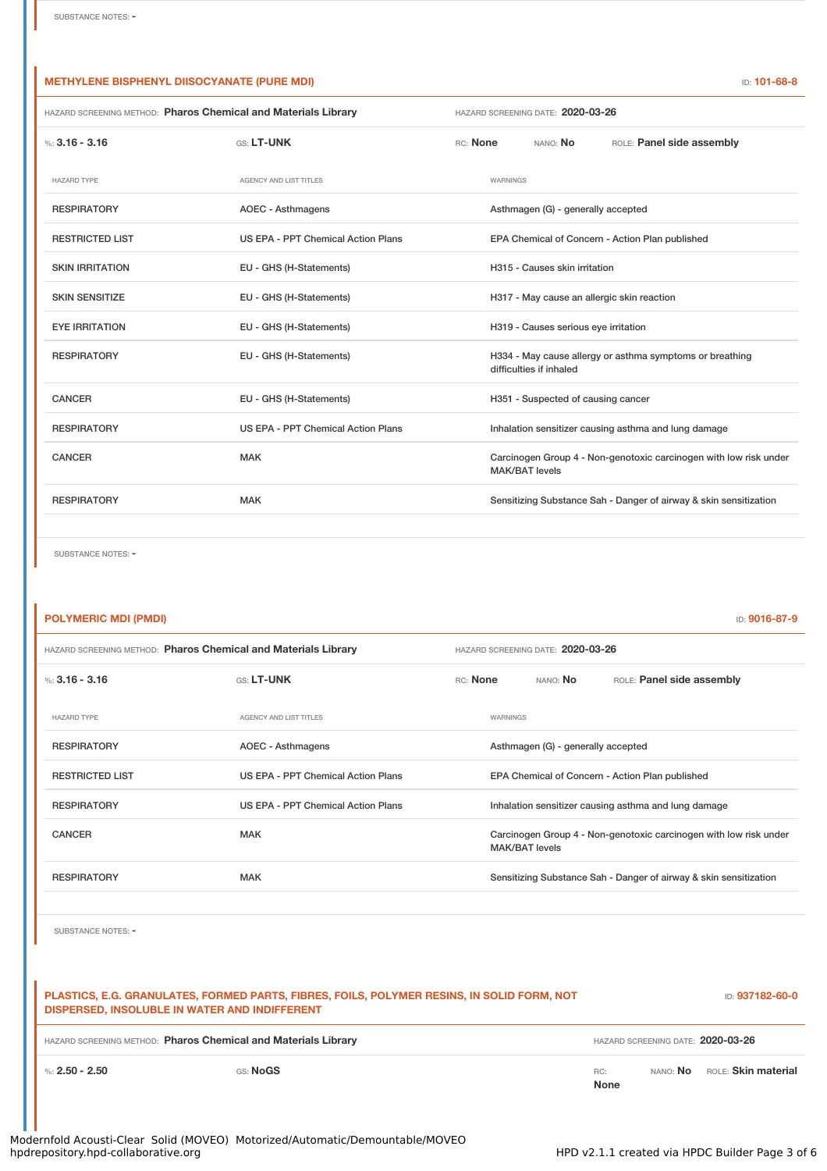## **METHYLENE BISPHENYL DIISOCYANATE (PURE MDI)** ID: **101-68-8**

| HAZARD SCREENING METHOD: Pharos Chemical and Materials Library |                                    | HAZARD SCREENING DATE: 2020-03-26                                                          |  |  |  |
|----------------------------------------------------------------|------------------------------------|--------------------------------------------------------------------------------------------|--|--|--|
| %: $3.16 - 3.16$                                               | GS: LT-UNK                         | RC: None<br>NANO: <b>No</b><br>ROLE: Panel side assembly                                   |  |  |  |
| <b>HAZARD TYPE</b>                                             | <b>AGENCY AND LIST TITLES</b>      | WARNINGS                                                                                   |  |  |  |
| <b>RESPIRATORY</b>                                             | AOEC - Asthmagens                  | Asthmagen (G) - generally accepted                                                         |  |  |  |
| <b>RESTRICTED LIST</b>                                         | US EPA - PPT Chemical Action Plans | EPA Chemical of Concern - Action Plan published                                            |  |  |  |
| <b>SKIN IRRITATION</b>                                         | EU - GHS (H-Statements)            | H315 - Causes skin irritation                                                              |  |  |  |
| <b>SKIN SENSITIZE</b>                                          | EU - GHS (H-Statements)            | H317 - May cause an allergic skin reaction                                                 |  |  |  |
| <b>EYE IRRITATION</b>                                          | EU - GHS (H-Statements)            | H319 - Causes serious eye irritation                                                       |  |  |  |
| <b>RESPIRATORY</b>                                             | EU - GHS (H-Statements)            | H334 - May cause allergy or asthma symptoms or breathing<br>difficulties if inhaled        |  |  |  |
| <b>CANCER</b>                                                  | EU - GHS (H-Statements)            | H351 - Suspected of causing cancer                                                         |  |  |  |
| <b>RESPIRATORY</b>                                             | US EPA - PPT Chemical Action Plans | Inhalation sensitizer causing asthma and lung damage                                       |  |  |  |
| <b>CANCER</b>                                                  | <b>MAK</b>                         | Carcinogen Group 4 - Non-genotoxic carcinogen with low risk under<br><b>MAK/BAT levels</b> |  |  |  |
| <b>RESPIRATORY</b>                                             | <b>MAK</b>                         | Sensitizing Substance Sah - Danger of airway & skin sensitization                          |  |  |  |

SUBSTANCE NOTES: -

# **POLYMERIC MDI (PMDI)** ID: **9016-87-9**

| <b>HAZARD SCREENING METHOD: Pharos Chemical and Materials Library</b> |                                    | HAZARD SCREENING DATE: 2020-03-26                                                          |          |                 |                                                                   |
|-----------------------------------------------------------------------|------------------------------------|--------------------------------------------------------------------------------------------|----------|-----------------|-------------------------------------------------------------------|
| %: $3.16 - 3.16$                                                      | GS: LT-UNK                         | RC: None                                                                                   |          | nano: <b>No</b> | ROLE: Panel side assembly                                         |
| <b>HAZARD TYPE</b>                                                    | <b>AGENCY AND LIST TITLES</b>      |                                                                                            | WARNINGS |                 |                                                                   |
| <b>RESPIRATORY</b>                                                    | AOEC - Asthmagens                  | Asthmagen (G) - generally accepted                                                         |          |                 |                                                                   |
| <b>RESTRICTED LIST</b>                                                | US EPA - PPT Chemical Action Plans |                                                                                            |          |                 | EPA Chemical of Concern - Action Plan published                   |
| <b>RESPIRATORY</b>                                                    | US EPA - PPT Chemical Action Plans | Inhalation sensitizer causing asthma and lung damage                                       |          |                 |                                                                   |
| CANCER                                                                | <b>MAK</b>                         | Carcinogen Group 4 - Non-genotoxic carcinogen with low risk under<br><b>MAK/BAT levels</b> |          |                 |                                                                   |
| <b>RESPIRATORY</b>                                                    | <b>MAK</b>                         |                                                                                            |          |                 | Sensitizing Substance Sah - Danger of airway & skin sensitization |

SUBSTANCE NOTES: -

| PLASTICS, E.G. GRANULATES, FORMED PARTS, FIBRES, FOILS, POLYMER RESINS, IN SOLID FORM, NOT<br>DISPERSED, INSOLUBLE IN WATER AND INDIFFERENT | <b>ID: 937182-60-0</b>                             |
|---------------------------------------------------------------------------------------------------------------------------------------------|----------------------------------------------------|
| <b>HAZARD SCREENING METHOD: Pharos Chemical and Materials Library</b>                                                                       | HAZARD SCREENING DATE: 2020-03-26                  |
| %: 2.50 - 2.50<br>GS: NoGS                                                                                                                  | NANO: No ROLE: Skin material<br>RC:<br><b>None</b> |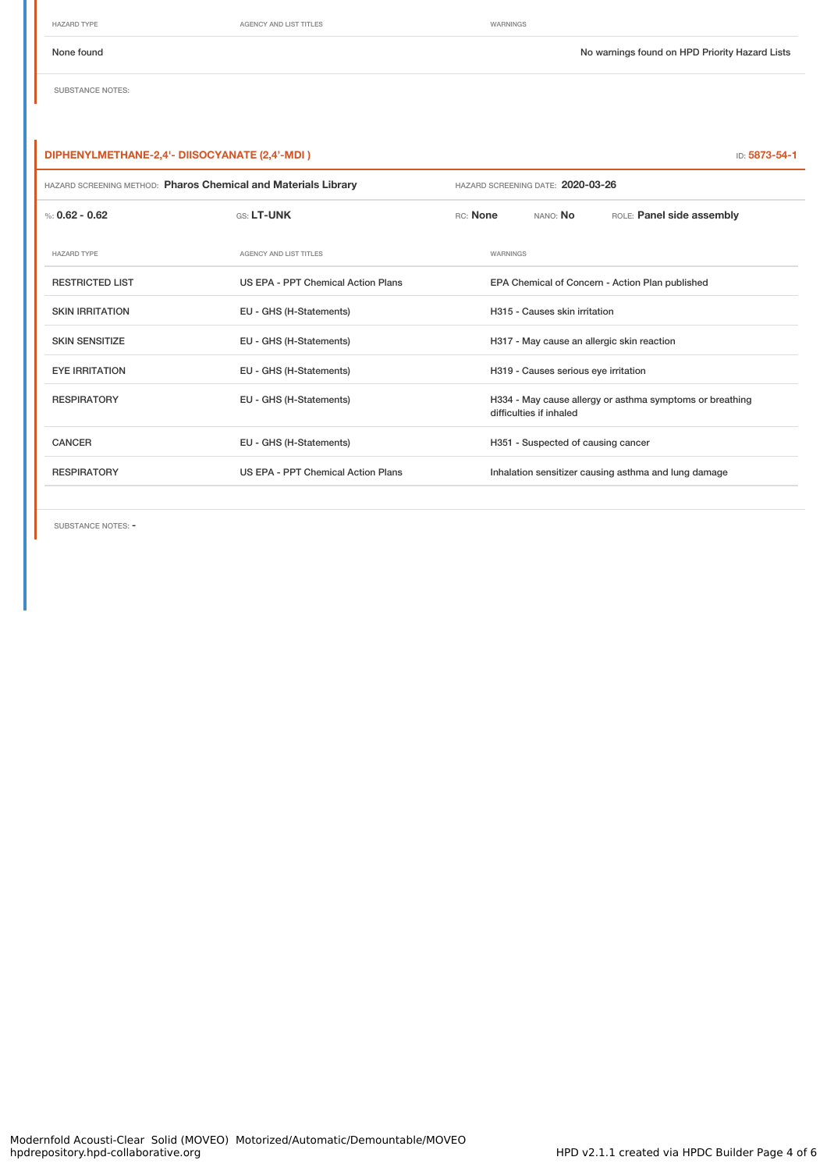HAZARD TYPE **AGENCY AND LIST TITLES AGENCY AND LIST TITLES** 

SUBSTANCE NOTES:

## **DIPHENYLMETHANE-2,4'- DIISOCYANATE (2,4'-MDI )** ID: **5873-54-1**

| HAZARD SCREENING METHOD: Pharos Chemical and Materials Library |                                    | HAZARD SCREENING DATE: 2020-03-26                                                   |          |                                            |                                                      |
|----------------------------------------------------------------|------------------------------------|-------------------------------------------------------------------------------------|----------|--------------------------------------------|------------------------------------------------------|
| %: $0.62 - 0.62$                                               | GS: LT-UNK                         | RC: None                                                                            |          | NANO: No                                   | ROLE: Panel side assembly                            |
| <b>HAZARD TYPE</b>                                             | <b>AGENCY AND LIST TITLES</b>      |                                                                                     | WARNINGS |                                            |                                                      |
| <b>RESTRICTED LIST</b>                                         | US EPA - PPT Chemical Action Plans | EPA Chemical of Concern - Action Plan published                                     |          |                                            |                                                      |
| <b>SKIN IRRITATION</b>                                         | EU - GHS (H-Statements)            |                                                                                     |          | H315 - Causes skin irritation              |                                                      |
| <b>SKIN SENSITIZE</b>                                          | EU - GHS (H-Statements)            |                                                                                     |          | H317 - May cause an allergic skin reaction |                                                      |
| <b>EYE IRRITATION</b>                                          | EU - GHS (H-Statements)            |                                                                                     |          | H319 - Causes serious eye irritation       |                                                      |
| <b>RESPIRATORY</b>                                             | EU - GHS (H-Statements)            | H334 - May cause allergy or asthma symptoms or breathing<br>difficulties if inhaled |          |                                            |                                                      |
| <b>CANCER</b>                                                  | EU - GHS (H-Statements)            |                                                                                     |          | H351 - Suspected of causing cancer         |                                                      |
| <b>RESPIRATORY</b>                                             | US EPA - PPT Chemical Action Plans |                                                                                     |          |                                            | Inhalation sensitizer causing asthma and lung damage |
|                                                                |                                    |                                                                                     |          |                                            |                                                      |

SUBSTANCE NOTES: -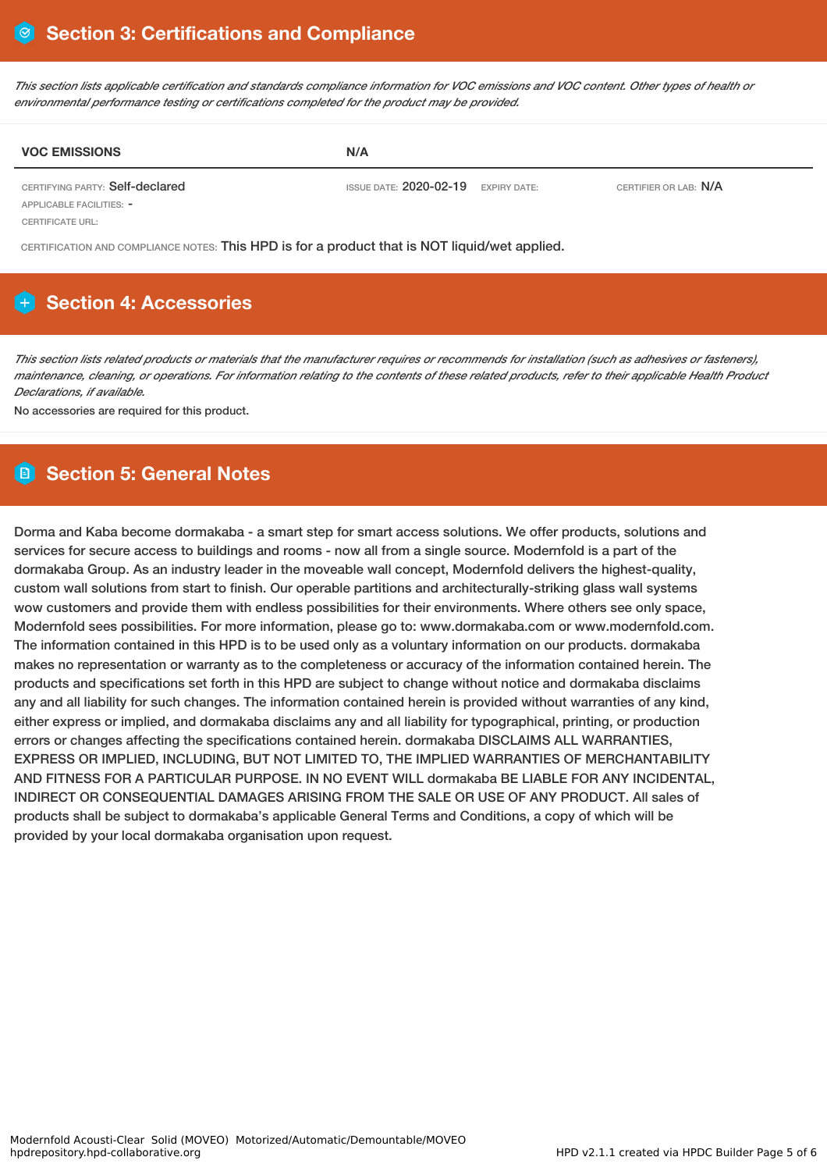This section lists applicable certification and standards compliance information for VOC emissions and VOC content. Other types of health or *environmental performance testing or certifications completed for the product may be provided.*

| <b>VOC EMISSIONS</b>            | N/A                                   |                       |
|---------------------------------|---------------------------------------|-----------------------|
| CERTIFYING PARTY: Self-declared | ISSUE DATE: $2020-02-19$ expiry date: | CERTIFIER OR LAB: N/A |
| APPLICABLE FACILITIES: -        |                                       |                       |

CERTIFICATE URL:

CERTIFICATION AND COMPLIANCE NOTES: This HPD is for a product that is NOT liquid/wet applied.

# **H** Section 4: Accessories

This section lists related products or materials that the manufacturer requires or recommends for installation (such as adhesives or fasteners), maintenance, cleaning, or operations. For information relating to the contents of these related products, refer to their applicable Health Product *Declarations, if available.*

No accessories are required for this product.

# **Section 5: General Notes**

Dorma and Kaba become dormakaba - a smart step for smart access solutions. We offer products, solutions and services for secure access to buildings and rooms - now all from a single source. Modernfold is a part of the dormakaba Group. As an industry leader in the moveable wall concept, Modernfold delivers the highest-quality, custom wall solutions from start to finish. Our operable partitions and architecturally-striking glass wall systems wow customers and provide them with endless possibilities for their environments. Where others see only space, Modernfold sees possibilities. For more information, please go to: www.dormakaba.com or www.modernfold.com. The information contained in this HPD is to be used only as a voluntary information on our products. dormakaba makes no representation or warranty as to the completeness or accuracy of the information contained herein. The products and specifications set forth in this HPD are subject to change without notice and dormakaba disclaims any and all liability for such changes. The information contained herein is provided without warranties of any kind, either express or implied, and dormakaba disclaims any and all liability for typographical, printing, or production errors or changes affecting the specifications contained herein. dormakaba DISCLAIMS ALL WARRANTIES, EXPRESS OR IMPLIED, INCLUDING, BUT NOT LIMITED TO, THE IMPLIED WARRANTIES OF MERCHANTABILITY AND FITNESS FOR A PARTICULAR PURPOSE. IN NO EVENT WILL dormakaba BE LIABLE FOR ANY INCIDENTAL, INDIRECT OR CONSEQUENTIAL DAMAGES ARISING FROM THE SALE OR USE OF ANY PRODUCT. All sales of products shall be subject to dormakaba's applicable General Terms and Conditions, a copy of which will be provided by your local dormakaba organisation upon request.